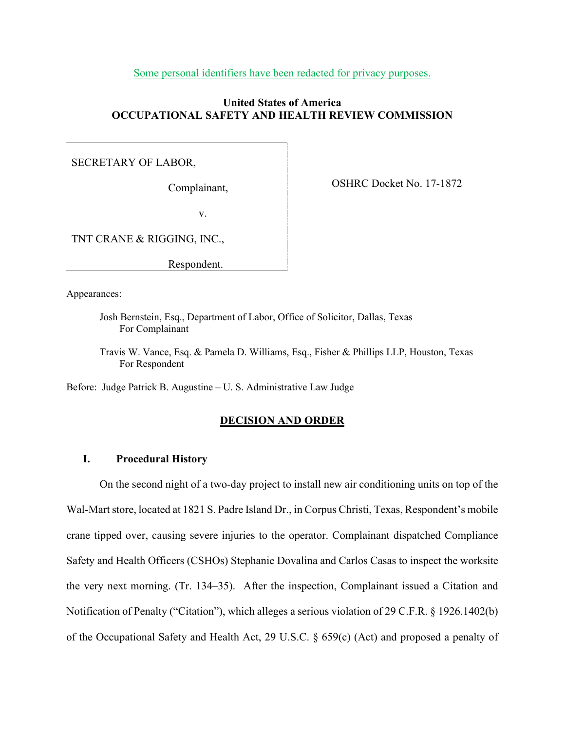Some personal identifiers have been redacted for privacy purposes.

# **United States of America OCCUPATIONAL SAFETY AND HEALTH REVIEW COMMISSION**

# SECRETARY OF LABOR,

Complainant,

OSHRC Docket No. 17-1872

v.

TNT CRANE & RIGGING, INC.,

Respondent.

Appearances:

- Josh Bernstein, Esq., Department of Labor, Office of Solicitor, Dallas, Texas For Complainant
- Travis W. Vance, Esq. & Pamela D. Williams, Esq., Fisher & Phillips LLP, Houston, Texas For Respondent

Before: Judge Patrick B. Augustine – U. S. Administrative Law Judge

### **DECISION AND ORDER**

# **I. Procedural History**

On the second night of a two-day project to install new air conditioning units on top of the Wal-Mart store, located at 1821 S. Padre Island Dr., in Corpus Christi, Texas, Respondent's mobile crane tipped over, causing severe injuries to the operator. Complainant dispatched Compliance Safety and Health Officers (CSHOs) Stephanie Dovalina and Carlos Casas to inspect the worksite the very next morning. (Tr. 134–35). After the inspection, Complainant issued a Citation and Notification of Penalty ("Citation"), which alleges a serious violation of 29 C.F.R. § 1926.1402(b) of the Occupational Safety and Health Act, 29 U.S.C. § 659(c) (Act) and proposed a penalty of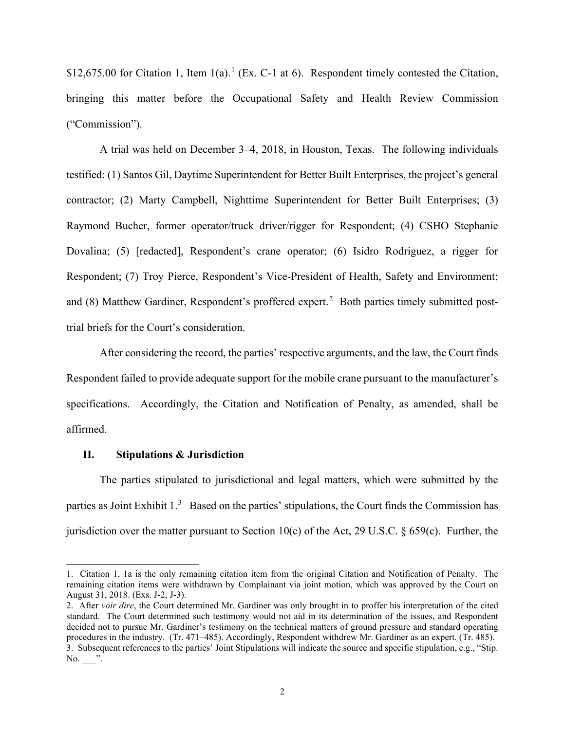\$[1](#page-1-0)2,675.00 for Citation 1, Item  $1(a)$ .<sup>1</sup> (Ex. C-1 at 6). Respondent timely contested the Citation, bringing this matter before the Occupational Safety and Health Review Commission ("Commission").

A trial was held on December 3–4, 2018, in Houston, Texas. The following individuals testified: (1) Santos Gil, Daytime Superintendent for Better Built Enterprises, the project's general contractor; (2) Marty Campbell, Nighttime Superintendent for Better Built Enterprises; (3) Raymond Bucher, former operator/truck driver/rigger for Respondent; (4) CSHO Stephanie Dovalina; (5) [redacted], Respondent's crane operator; (6) Isidro Rodriguez, a rigger for Respondent; (7) Troy Pierce, Respondent's Vice-President of Health, Safety and Environment; and (8) Matthew Gardiner, Respondent's proffered expert.<sup>[2](#page-1-1)</sup> Both parties timely submitted posttrial briefs for the Court's consideration.

After considering the record, the parties' respective arguments, and the law, the Court finds Respondent failed to provide adequate support for the mobile crane pursuant to the manufacturer's specifications. Accordingly, the Citation and Notification of Penalty, as amended, shall be affirmed.

### **II. Stipulations & Jurisdiction**

The parties stipulated to jurisdictional and legal matters, which were submitted by the parties as Joint Exhibit 1.<sup>[3](#page-1-2)</sup> Based on the parties' stipulations, the Court finds the Commission has jurisdiction over the matter pursuant to Section 10(c) of the Act, 29 U.S.C.  $\S$  659(c). Further, the

<span id="page-1-0"></span><sup>1.</sup> Citation 1, 1a is the only remaining citation item from the original Citation and Notification of Penalty. The remaining citation items were withdrawn by Complainant via joint motion, which was approved by the Court on August 31, 2018. (Exs. J-2, J-3).

<span id="page-1-2"></span><span id="page-1-1"></span><sup>2.</sup> After *voir dire*, the Court determined Mr. Gardiner was only brought in to proffer his interpretation of the cited standard. The Court determined such testimony would not aid in its determination of the issues, and Respondent decided not to pursue Mr. Gardiner's testimony on the technical matters of ground pressure and standard operating procedures in the industry. (Tr. 471–485). Accordingly, Respondent withdrew Mr. Gardiner as an expert. (Tr. 485). 3. Subsequent references to the parties' Joint Stipulations will indicate the source and specific stipulation, e.g., "Stip. No. ".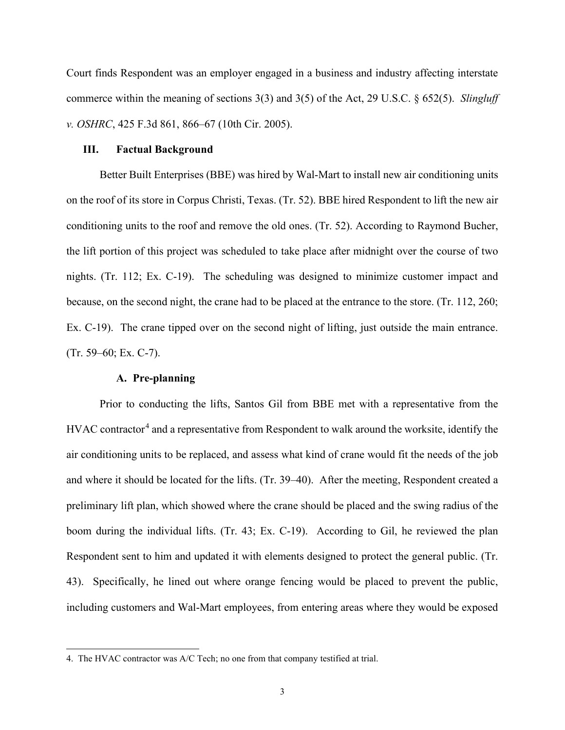Court finds Respondent was an employer engaged in a business and industry affecting interstate commerce within the meaning of sections 3(3) and 3(5) of the Act, 29 U.S.C. § 652(5). *Slingluff v. OSHRC*, 425 F.3d 861, 866–67 (10th Cir. 2005).

#### **III. Factual Background**

Better Built Enterprises (BBE) was hired by Wal-Mart to install new air conditioning units on the roof of its store in Corpus Christi, Texas. (Tr. 52). BBE hired Respondent to lift the new air conditioning units to the roof and remove the old ones. (Tr. 52). According to Raymond Bucher, the lift portion of this project was scheduled to take place after midnight over the course of two nights. (Tr. 112; Ex. C-19). The scheduling was designed to minimize customer impact and because, on the second night, the crane had to be placed at the entrance to the store. (Tr. 112, 260; Ex. C-19). The crane tipped over on the second night of lifting, just outside the main entrance. (Tr. 59–60; Ex. C-7).

### **A. Pre-planning**

Prior to conducting the lifts, Santos Gil from BBE met with a representative from the HVAC contractor<sup>[4](#page-2-0)</sup> and a representative from Respondent to walk around the worksite, identify the air conditioning units to be replaced, and assess what kind of crane would fit the needs of the job and where it should be located for the lifts. (Tr. 39–40). After the meeting, Respondent created a preliminary lift plan, which showed where the crane should be placed and the swing radius of the boom during the individual lifts. (Tr. 43; Ex. C-19). According to Gil, he reviewed the plan Respondent sent to him and updated it with elements designed to protect the general public. (Tr. 43). Specifically, he lined out where orange fencing would be placed to prevent the public, including customers and Wal-Mart employees, from entering areas where they would be exposed

<span id="page-2-0"></span><sup>4.</sup> The HVAC contractor was A/C Tech; no one from that company testified at trial.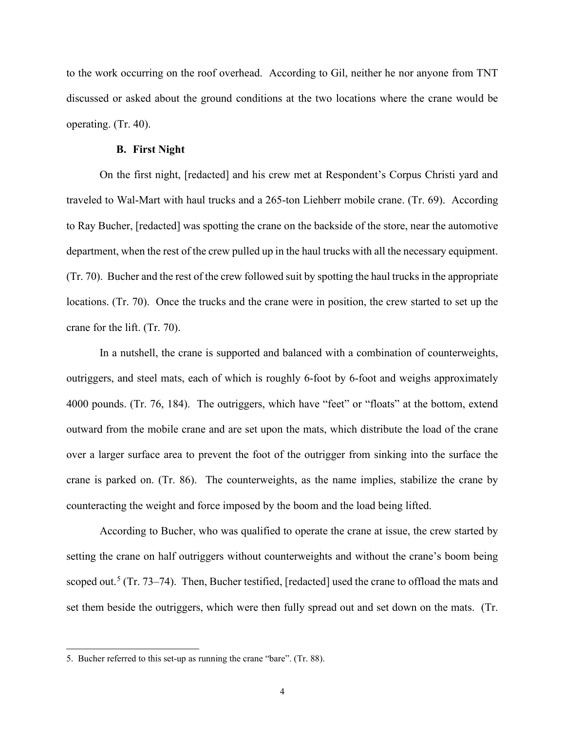to the work occurring on the roof overhead. According to Gil, neither he nor anyone from TNT discussed or asked about the ground conditions at the two locations where the crane would be operating. (Tr. 40).

# **B. First Night**

On the first night, [redacted] and his crew met at Respondent's Corpus Christi yard and traveled to Wal-Mart with haul trucks and a 265-ton Liehberr mobile crane. (Tr. 69). According to Ray Bucher, [redacted] was spotting the crane on the backside of the store, near the automotive department, when the rest of the crew pulled up in the haul trucks with all the necessary equipment. (Tr. 70). Bucher and the rest of the crew followed suit by spotting the haul trucks in the appropriate locations. (Tr. 70). Once the trucks and the crane were in position, the crew started to set up the crane for the lift. (Tr. 70).

In a nutshell, the crane is supported and balanced with a combination of counterweights, outriggers, and steel mats, each of which is roughly 6-foot by 6-foot and weighs approximately 4000 pounds. (Tr. 76, 184). The outriggers, which have "feet" or "floats" at the bottom, extend outward from the mobile crane and are set upon the mats, which distribute the load of the crane over a larger surface area to prevent the foot of the outrigger from sinking into the surface the crane is parked on. (Tr. 86). The counterweights, as the name implies, stabilize the crane by counteracting the weight and force imposed by the boom and the load being lifted.

According to Bucher, who was qualified to operate the crane at issue, the crew started by setting the crane on half outriggers without counterweights and without the crane's boom being scoped out.<sup>[5](#page-3-0)</sup> (Tr. 73–74). Then, Bucher testified, [redacted] used the crane to offload the mats and set them beside the outriggers, which were then fully spread out and set down on the mats. (Tr.

<span id="page-3-0"></span><sup>5.</sup> Bucher referred to this set-up as running the crane "bare". (Tr. 88).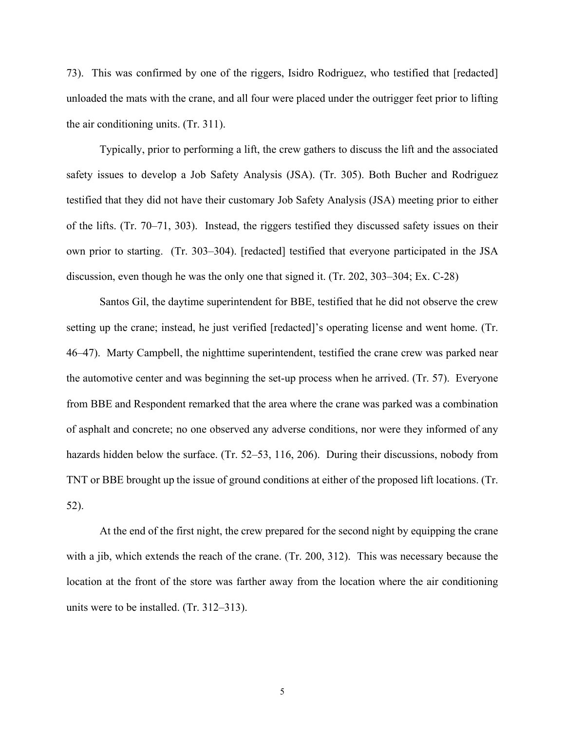73). This was confirmed by one of the riggers, Isidro Rodriguez, who testified that [redacted] unloaded the mats with the crane, and all four were placed under the outrigger feet prior to lifting the air conditioning units. (Tr. 311).

Typically, prior to performing a lift, the crew gathers to discuss the lift and the associated safety issues to develop a Job Safety Analysis (JSA). (Tr. 305). Both Bucher and Rodriguez testified that they did not have their customary Job Safety Analysis (JSA) meeting prior to either of the lifts. (Tr. 70–71, 303). Instead, the riggers testified they discussed safety issues on their own prior to starting. (Tr. 303–304). [redacted] testified that everyone participated in the JSA discussion, even though he was the only one that signed it. (Tr. 202, 303–304; Ex. C-28)

 Santos Gil, the daytime superintendent for BBE, testified that he did not observe the crew setting up the crane; instead, he just verified [redacted]'s operating license and went home. (Tr. 46–47). Marty Campbell, the nighttime superintendent, testified the crane crew was parked near the automotive center and was beginning the set-up process when he arrived. (Tr. 57). Everyone from BBE and Respondent remarked that the area where the crane was parked was a combination of asphalt and concrete; no one observed any adverse conditions, nor were they informed of any hazards hidden below the surface. (Tr. 52–53, 116, 206). During their discussions, nobody from TNT or BBE brought up the issue of ground conditions at either of the proposed lift locations. (Tr. 52).

At the end of the first night, the crew prepared for the second night by equipping the crane with a jib, which extends the reach of the crane. (Tr. 200, 312). This was necessary because the location at the front of the store was farther away from the location where the air conditioning units were to be installed. (Tr. 312–313).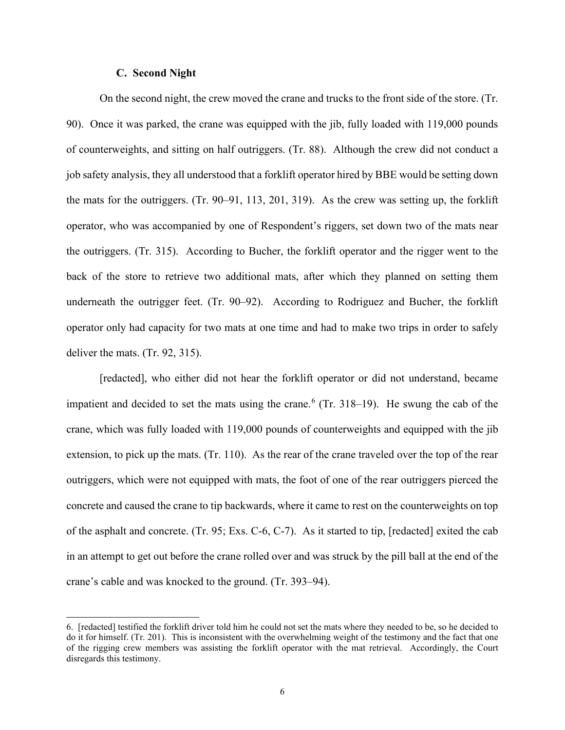### **C. Second Night**

On the second night, the crew moved the crane and trucks to the front side of the store. (Tr. 90). Once it was parked, the crane was equipped with the jib, fully loaded with 119,000 pounds of counterweights, and sitting on half outriggers. (Tr. 88). Although the crew did not conduct a job safety analysis, they all understood that a forklift operator hired by BBE would be setting down the mats for the outriggers. (Tr. 90–91, 113, 201, 319). As the crew was setting up, the forklift operator, who was accompanied by one of Respondent's riggers, set down two of the mats near the outriggers. (Tr. 315). According to Bucher, the forklift operator and the rigger went to the back of the store to retrieve two additional mats, after which they planned on setting them underneath the outrigger feet. (Tr. 90–92). According to Rodriguez and Bucher, the forklift operator only had capacity for two mats at one time and had to make two trips in order to safely deliver the mats. (Tr. 92, 315).

[redacted], who either did not hear the forklift operator or did not understand, became impatient and decided to set the mats using the crane.<sup>[6](#page-5-0)</sup> (Tr. 318–19). He swung the cab of the crane, which was fully loaded with 119,000 pounds of counterweights and equipped with the jib extension, to pick up the mats. (Tr. 110). As the rear of the crane traveled over the top of the rear outriggers, which were not equipped with mats, the foot of one of the rear outriggers pierced the concrete and caused the crane to tip backwards, where it came to rest on the counterweights on top of the asphalt and concrete. (Tr. 95; Exs. C-6, C-7). As it started to tip, [redacted] exited the cab in an attempt to get out before the crane rolled over and was struck by the pill ball at the end of the crane's cable and was knocked to the ground. (Tr. 393–94).

<span id="page-5-0"></span><sup>6. [</sup>redacted] testified the forklift driver told him he could not set the mats where they needed to be, so he decided to do it for himself. (Tr. 201). This is inconsistent with the overwhelming weight of the testimony and the fact that one of the rigging crew members was assisting the forklift operator with the mat retrieval. Accordingly, the Court disregards this testimony.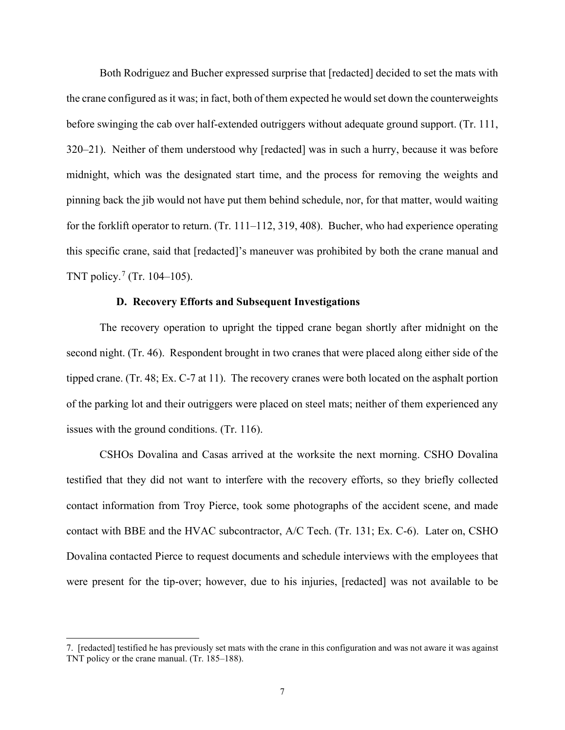Both Rodriguez and Bucher expressed surprise that [redacted] decided to set the mats with the crane configured as it was; in fact, both of them expected he would set down the counterweights before swinging the cab over half-extended outriggers without adequate ground support. (Tr. 111, 320–21). Neither of them understood why [redacted] was in such a hurry, because it was before midnight, which was the designated start time, and the process for removing the weights and pinning back the jib would not have put them behind schedule, nor, for that matter, would waiting for the forklift operator to return. (Tr. 111–112, 319, 408). Bucher, who had experience operating this specific crane, said that [redacted]'s maneuver was prohibited by both the crane manual and TNT policy.<sup>[7](#page-6-0)</sup> (Tr. 104–105).

# **D. Recovery Efforts and Subsequent Investigations**

The recovery operation to upright the tipped crane began shortly after midnight on the second night. (Tr. 46). Respondent brought in two cranes that were placed along either side of the tipped crane. (Tr. 48; Ex. C-7 at 11). The recovery cranes were both located on the asphalt portion of the parking lot and their outriggers were placed on steel mats; neither of them experienced any issues with the ground conditions. (Tr. 116).

CSHOs Dovalina and Casas arrived at the worksite the next morning. CSHO Dovalina testified that they did not want to interfere with the recovery efforts, so they briefly collected contact information from Troy Pierce, took some photographs of the accident scene, and made contact with BBE and the HVAC subcontractor, A/C Tech. (Tr. 131; Ex. C-6). Later on, CSHO Dovalina contacted Pierce to request documents and schedule interviews with the employees that were present for the tip-over; however, due to his injuries, [redacted] was not available to be

<span id="page-6-0"></span><sup>7. [</sup>redacted] testified he has previously set mats with the crane in this configuration and was not aware it was against TNT policy or the crane manual. (Tr. 185–188).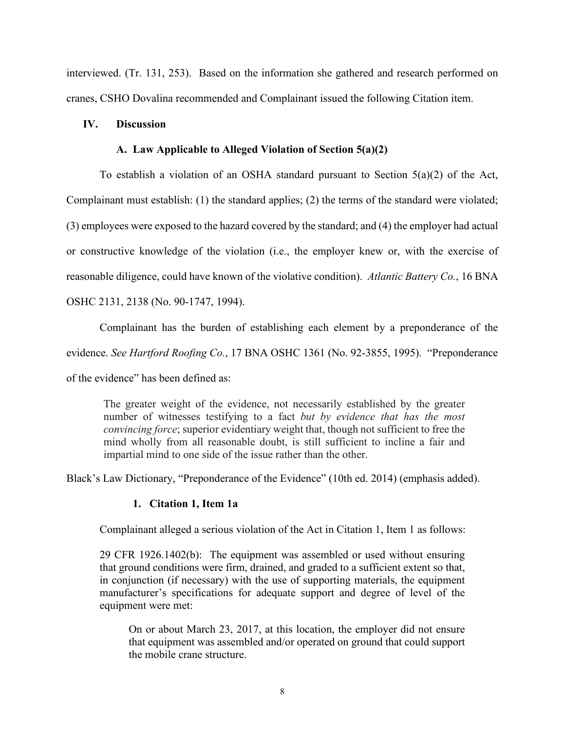interviewed. (Tr. 131, 253). Based on the information she gathered and research performed on cranes, CSHO Dovalina recommended and Complainant issued the following Citation item.

# **IV. Discussion**

# **A. Law Applicable to Alleged Violation of Section 5(a)(2)**

To establish a violation of an OSHA standard pursuant to Section 5(a)(2) of the Act, Complainant must establish: (1) the standard applies; (2) the terms of the standard were violated; (3) employees were exposed to the hazard covered by the standard; and (4) the employer had actual or constructive knowledge of the violation (i.e., the employer knew or, with the exercise of reasonable diligence, could have known of the violative condition). *Atlantic Battery Co.*, 16 BNA OSHC 2131, 2138 (No. 90-1747, 1994).

Complainant has the burden of establishing each element by a preponderance of the

evidence. *See Hartford Roofing Co.*, 17 BNA OSHC 1361 (No. 92-3855, 1995). "Preponderance

of the evidence" has been defined as:

The greater weight of the evidence, not necessarily established by the greater number of witnesses testifying to a fact *but by evidence that has the most convincing force*; superior evidentiary weight that, though not sufficient to free the mind wholly from all reasonable doubt, is still sufficient to incline a fair and impartial mind to one side of the issue rather than the other.

Black's Law Dictionary, "Preponderance of the Evidence" (10th ed. 2014) (emphasis added).

# **1. Citation 1, Item 1a**

Complainant alleged a serious violation of the Act in Citation 1, Item 1 as follows:

29 CFR 1926.1402(b): The equipment was assembled or used without ensuring that ground conditions were firm, drained, and graded to a sufficient extent so that, in conjunction (if necessary) with the use of supporting materials, the equipment manufacturer's specifications for adequate support and degree of level of the equipment were met:

 On or about March 23, 2017, at this location, the employer did not ensure that equipment was assembled and/or operated on ground that could support the mobile crane structure.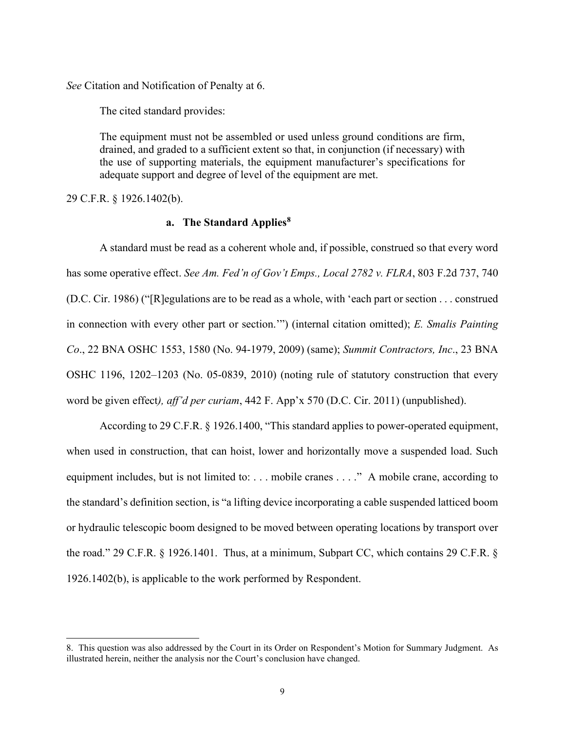*See* Citation and Notification of Penalty at 6.

The cited standard provides:

The equipment must not be assembled or used unless ground conditions are firm, drained, and graded to a sufficient extent so that, in conjunction (if necessary) with the use of supporting materials, the equipment manufacturer's specifications for adequate support and degree of level of the equipment are met.

29 C.F.R. § 1926.1402(b).

#### **a. The Standard Applies[8](#page-8-0)**

A standard must be read as a coherent whole and, if possible, construed so that every word has some operative effect. *See Am. Fed'n of Gov't Emps., Local 2782 v. FLRA*, 803 F.2d 737, 740 (D.C. Cir. 1986) ("[R]egulations are to be read as a whole, with 'each part or section . . . construed in connection with every other part or section.'") (internal citation omitted); *E. Smalis Painting Co*., 22 BNA OSHC 1553, 1580 (No. 94-1979, 2009) (same); *Summit Contractors, Inc*., 23 BNA OSHC 1196, 1202–1203 (No. 05-0839, 2010) (noting rule of statutory construction that every word be given effect*), aff'd per curiam*, 442 F. App'x 570 (D.C. Cir. 2011) (unpublished).

According to 29 C.F.R. § 1926.1400, "This standard applies to power-operated equipment, when used in construction, that can hoist, lower and horizontally move a suspended load. Such equipment includes, but is not limited to: ... mobile cranes ...." A mobile crane, according to the standard's definition section, is "a lifting device incorporating a cable suspended latticed boom or hydraulic telescopic boom designed to be moved between operating locations by transport over the road." 29 C.F.R. § 1926.1401. Thus, at a minimum, Subpart CC, which contains 29 C.F.R. § 1926.1402(b), is applicable to the work performed by Respondent.

<span id="page-8-0"></span><sup>8.</sup> This question was also addressed by the Court in its Order on Respondent's Motion for Summary Judgment. As illustrated herein, neither the analysis nor the Court's conclusion have changed.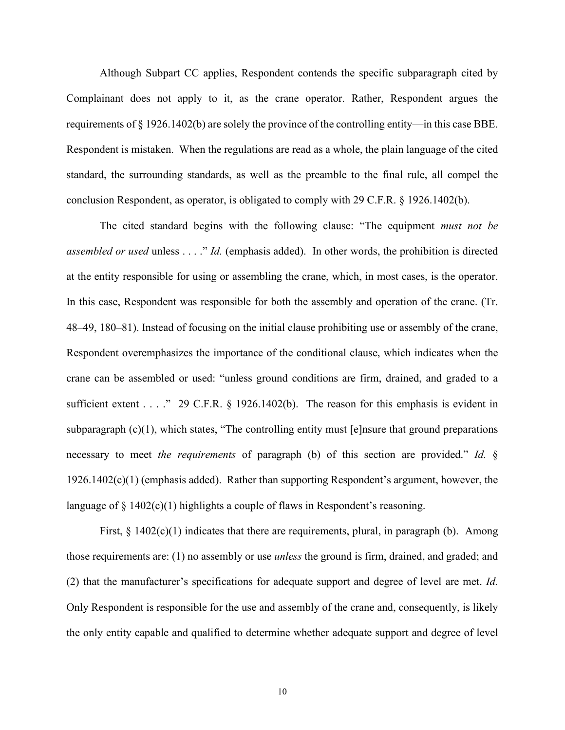Although Subpart CC applies, Respondent contends the specific subparagraph cited by Complainant does not apply to it, as the crane operator. Rather, Respondent argues the requirements of  $\S 1926.1402(b)$  are solely the province of the controlling entity—in this case BBE. Respondent is mistaken. When the regulations are read as a whole, the plain language of the cited standard, the surrounding standards, as well as the preamble to the final rule, all compel the conclusion Respondent, as operator, is obligated to comply with 29 C.F.R. § 1926.1402(b).

The cited standard begins with the following clause: "The equipment *must not be assembled or used* unless . . . ." *Id.* (emphasis added). In other words, the prohibition is directed at the entity responsible for using or assembling the crane, which, in most cases, is the operator. In this case, Respondent was responsible for both the assembly and operation of the crane. (Tr. 48–49, 180–81). Instead of focusing on the initial clause prohibiting use or assembly of the crane, Respondent overemphasizes the importance of the conditional clause, which indicates when the crane can be assembled or used: "unless ground conditions are firm, drained, and graded to a sufficient extent . . . . " 29 C.F.R. § 1926.1402(b). The reason for this emphasis is evident in subparagraph (c)(1), which states, "The controlling entity must [e]nsure that ground preparations necessary to meet *the requirements* of paragraph (b) of this section are provided." *Id.* §  $1926.1402(c)(1)$  (emphasis added). Rather than supporting Respondent's argument, however, the language of  $\S$  1402(c)(1) highlights a couple of flaws in Respondent's reasoning.

First,  $\S$  1402(c)(1) indicates that there are requirements, plural, in paragraph (b). Among those requirements are: (1) no assembly or use *unless* the ground is firm, drained, and graded; and (2) that the manufacturer's specifications for adequate support and degree of level are met. *Id.* Only Respondent is responsible for the use and assembly of the crane and, consequently, is likely the only entity capable and qualified to determine whether adequate support and degree of level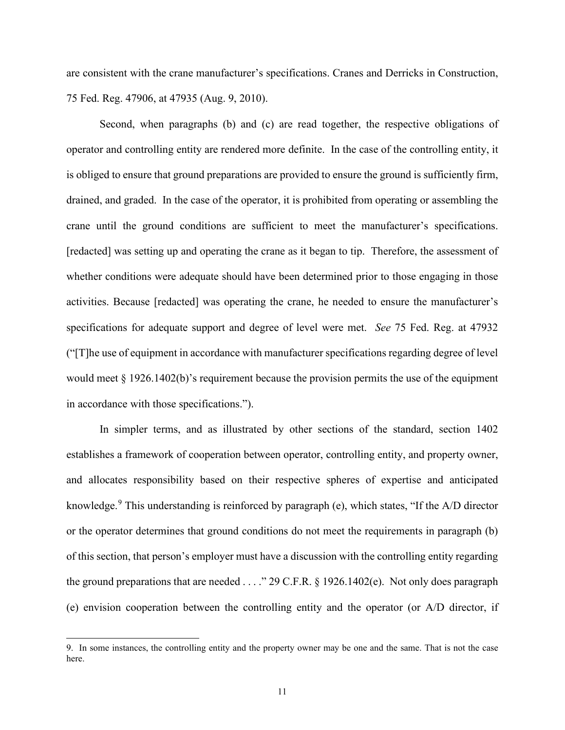are consistent with the crane manufacturer's specifications. Cranes and Derricks in Construction, 75 Fed. Reg. 47906, at 47935 (Aug. 9, 2010).

 Second, when paragraphs (b) and (c) are read together, the respective obligations of operator and controlling entity are rendered more definite. In the case of the controlling entity, it is obliged to ensure that ground preparations are provided to ensure the ground is sufficiently firm, drained, and graded. In the case of the operator, it is prohibited from operating or assembling the crane until the ground conditions are sufficient to meet the manufacturer's specifications. [redacted] was setting up and operating the crane as it began to tip. Therefore, the assessment of whether conditions were adequate should have been determined prior to those engaging in those activities. Because [redacted] was operating the crane, he needed to ensure the manufacturer's specifications for adequate support and degree of level were met. *See* 75 Fed. Reg. at 47932 ("[T]he use of equipment in accordance with manufacturer specifications regarding degree of level would meet § 1926.1402(b)'s requirement because the provision permits the use of the equipment in accordance with those specifications.").

In simpler terms, and as illustrated by other sections of the standard, section 1402 establishes a framework of cooperation between operator, controlling entity, and property owner, and allocates responsibility based on their respective spheres of expertise and anticipated knowledge.<sup>[9](#page-10-0)</sup> This understanding is reinforced by paragraph (e), which states, "If the A/D director or the operator determines that ground conditions do not meet the requirements in paragraph (b) of this section, that person's employer must have a discussion with the controlling entity regarding the ground preparations that are needed . . . ." 29 C.F.R. § 1926.1402(e). Not only does paragraph (e) envision cooperation between the controlling entity and the operator (or A/D director, if

<span id="page-10-0"></span><sup>9.</sup> In some instances, the controlling entity and the property owner may be one and the same. That is not the case here.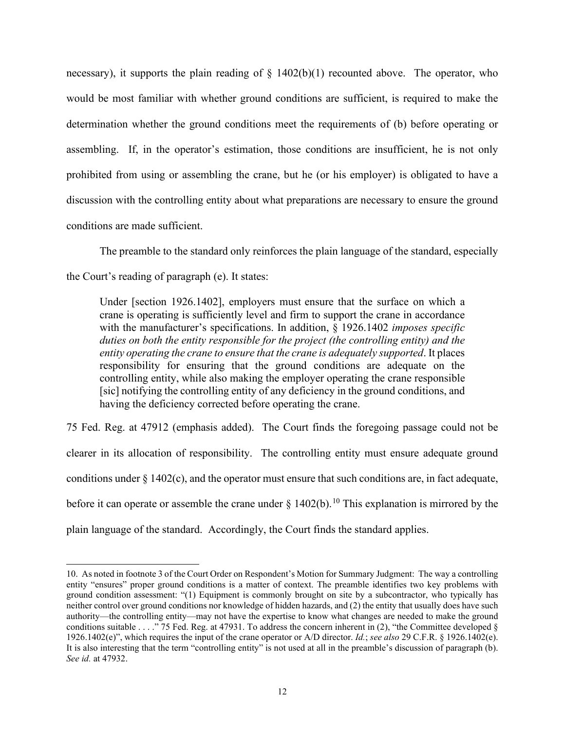necessary), it supports the plain reading of  $\S$  1402(b)(1) recounted above. The operator, who would be most familiar with whether ground conditions are sufficient, is required to make the determination whether the ground conditions meet the requirements of (b) before operating or assembling. If, in the operator's estimation, those conditions are insufficient, he is not only prohibited from using or assembling the crane, but he (or his employer) is obligated to have a discussion with the controlling entity about what preparations are necessary to ensure the ground conditions are made sufficient.

The preamble to the standard only reinforces the plain language of the standard, especially the Court's reading of paragraph (e). It states:

Under [section 1926.1402], employers must ensure that the surface on which a crane is operating is sufficiently level and firm to support the crane in accordance with the manufacturer's specifications. In addition, § 1926.1402 *imposes specific duties on both the entity responsible for the project (the controlling entity) and the entity operating the crane to ensure that the crane is adequately supported*. It places responsibility for ensuring that the ground conditions are adequate on the controlling entity, while also making the employer operating the crane responsible [sic] notifying the controlling entity of any deficiency in the ground conditions, and having the deficiency corrected before operating the crane.

75 Fed. Reg. at 47912 (emphasis added). The Court finds the foregoing passage could not be clearer in its allocation of responsibility. The controlling entity must ensure adequate ground conditions under  $\frac{1402(c)}{c}$ , and the operator must ensure that such conditions are, in fact adequate, before it can operate or assemble the crane under  $\S$  1402(b).<sup>10</sup> This explanation is mirrored by the plain language of the standard. Accordingly, the Court finds the standard applies.

<span id="page-11-0"></span><sup>10.</sup> As noted in footnote 3 of the Court Order on Respondent's Motion for Summary Judgment: The way a controlling entity "ensures" proper ground conditions is a matter of context. The preamble identifies two key problems with ground condition assessment: "(1) Equipment is commonly brought on site by a subcontractor, who typically has neither control over ground conditions nor knowledge of hidden hazards, and (2) the entity that usually does have such authority—the controlling entity—may not have the expertise to know what changes are needed to make the ground conditions suitable . . . ." 75 Fed. Reg. at 47931. To address the concern inherent in (2), "the Committee developed  $\S$ 1926.1402(e)", which requires the input of the crane operator or A/D director. *Id.*; *see also* 29 C.F.R. § 1926.1402(e). It is also interesting that the term "controlling entity" is not used at all in the preamble's discussion of paragraph (b). *See id.* at 47932.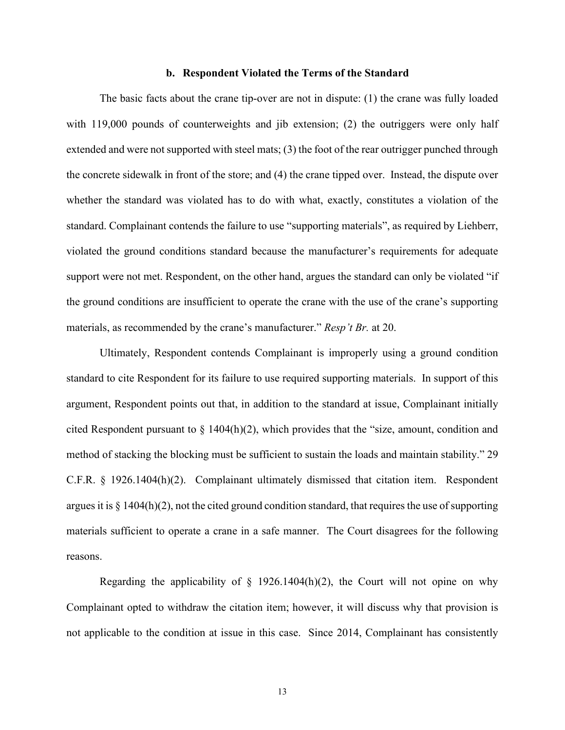#### **b. Respondent Violated the Terms of the Standard**

The basic facts about the crane tip-over are not in dispute: (1) the crane was fully loaded with 119,000 pounds of counterweights and jib extension; (2) the outriggers were only half extended and were not supported with steel mats; (3) the foot of the rear outrigger punched through the concrete sidewalk in front of the store; and (4) the crane tipped over. Instead, the dispute over whether the standard was violated has to do with what, exactly, constitutes a violation of the standard. Complainant contends the failure to use "supporting materials", as required by Liehberr, violated the ground conditions standard because the manufacturer's requirements for adequate support were not met. Respondent, on the other hand, argues the standard can only be violated "if the ground conditions are insufficient to operate the crane with the use of the crane's supporting materials, as recommended by the crane's manufacturer." *Resp't Br.* at 20.

Ultimately, Respondent contends Complainant is improperly using a ground condition standard to cite Respondent for its failure to use required supporting materials. In support of this argument, Respondent points out that, in addition to the standard at issue, Complainant initially cited Respondent pursuant to § 1404(h)(2), which provides that the "size, amount, condition and method of stacking the blocking must be sufficient to sustain the loads and maintain stability." 29 C.F.R. § 1926.1404(h)(2). Complainant ultimately dismissed that citation item. Respondent argues it is  $\S 1404(h)(2)$ , not the cited ground condition standard, that requires the use of supporting materials sufficient to operate a crane in a safe manner. The Court disagrees for the following reasons.

Regarding the applicability of  $\S$  1926.1404(h)(2), the Court will not opine on why Complainant opted to withdraw the citation item; however, it will discuss why that provision is not applicable to the condition at issue in this case. Since 2014, Complainant has consistently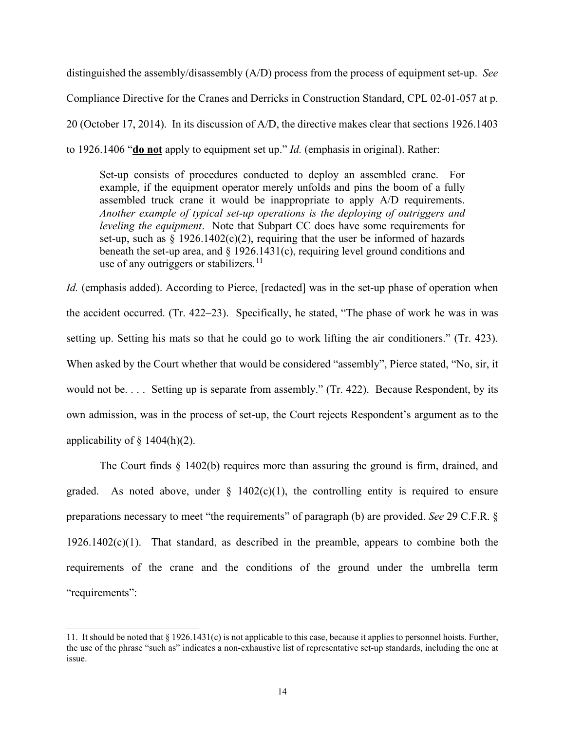distinguished the assembly/disassembly (A/D) process from the process of equipment set-up. *See* Compliance Directive for the Cranes and Derricks in Construction Standard, CPL 02-01-057 at p. 20 (October 17, 2014). In its discussion of A/D, the directive makes clear that sections 1926.1403 to 1926.1406 "**do not** apply to equipment set up." *Id.* (emphasis in original). Rather:

Set-up consists of procedures conducted to deploy an assembled crane. For example, if the equipment operator merely unfolds and pins the boom of a fully assembled truck crane it would be inappropriate to apply A/D requirements. *Another example of typical set-up operations is the deploying of outriggers and leveling the equipment*. Note that Subpart CC does have some requirements for set-up, such as  $\S$  1926.1402(c)(2), requiring that the user be informed of hazards beneath the set-up area, and  $\S$  1926.1431(c), requiring level ground conditions and use of any outriggers or stabilizers.<sup>[11](#page-13-0)</sup>

*Id.* (emphasis added). According to Pierce, [redacted] was in the set-up phase of operation when the accident occurred. (Tr. 422–23). Specifically, he stated, "The phase of work he was in was setting up. Setting his mats so that he could go to work lifting the air conditioners." (Tr. 423). When asked by the Court whether that would be considered "assembly", Pierce stated, "No, sir, it would not be. . . . Setting up is separate from assembly." (Tr. 422). Because Respondent, by its own admission, was in the process of set-up, the Court rejects Respondent's argument as to the applicability of  $\S$  1404(h)(2).

 The Court finds § 1402(b) requires more than assuring the ground is firm, drained, and graded. As noted above, under  $\S$  1402(c)(1), the controlling entity is required to ensure preparations necessary to meet "the requirements" of paragraph (b) are provided. *See* 29 C.F.R. §  $1926.1402(c)(1)$ . That standard, as described in the preamble, appears to combine both the requirements of the crane and the conditions of the ground under the umbrella term "requirements":

<span id="page-13-0"></span><sup>11.</sup> It should be noted that  $\S 1926.1431(c)$  is not applicable to this case, because it applies to personnel hoists. Further, the use of the phrase "such as" indicates a non-exhaustive list of representative set-up standards, including the one at issue.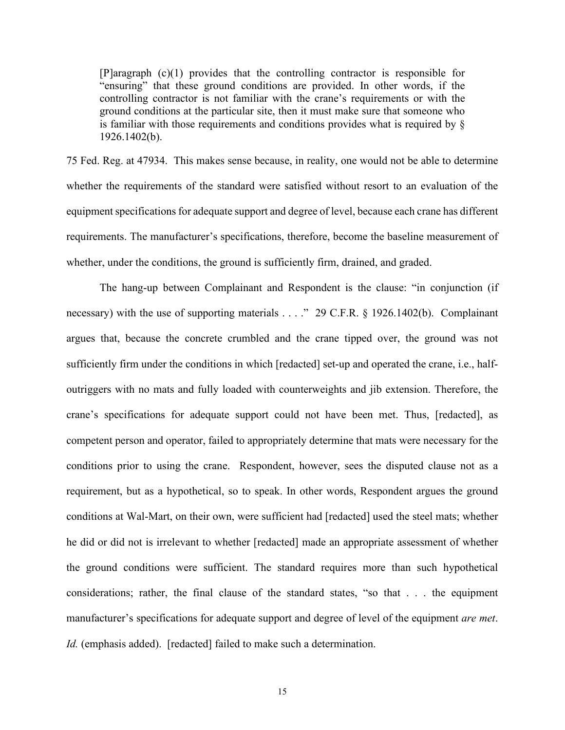[P]aragraph (c)(1) provides that the controlling contractor is responsible for "ensuring" that these ground conditions are provided. In other words, if the controlling contractor is not familiar with the crane's requirements or with the ground conditions at the particular site, then it must make sure that someone who is familiar with those requirements and conditions provides what is required by § 1926.1402(b).

75 Fed. Reg. at 47934. This makes sense because, in reality, one would not be able to determine whether the requirements of the standard were satisfied without resort to an evaluation of the equipment specifications for adequate support and degree of level, because each crane has different requirements. The manufacturer's specifications, therefore, become the baseline measurement of whether, under the conditions, the ground is sufficiently firm, drained, and graded.

The hang-up between Complainant and Respondent is the clause: "in conjunction (if necessary) with the use of supporting materials . . . ." 29 C.F.R. § 1926.1402(b). Complainant argues that, because the concrete crumbled and the crane tipped over, the ground was not sufficiently firm under the conditions in which [redacted] set-up and operated the crane, i.e., halfoutriggers with no mats and fully loaded with counterweights and jib extension. Therefore, the crane's specifications for adequate support could not have been met. Thus, [redacted], as competent person and operator, failed to appropriately determine that mats were necessary for the conditions prior to using the crane. Respondent, however, sees the disputed clause not as a requirement, but as a hypothetical, so to speak. In other words, Respondent argues the ground conditions at Wal-Mart, on their own, were sufficient had [redacted] used the steel mats; whether he did or did not is irrelevant to whether [redacted] made an appropriate assessment of whether the ground conditions were sufficient. The standard requires more than such hypothetical considerations; rather, the final clause of the standard states, "so that . . . the equipment manufacturer's specifications for adequate support and degree of level of the equipment *are met*. *Id.* (emphasis added). [redacted] failed to make such a determination.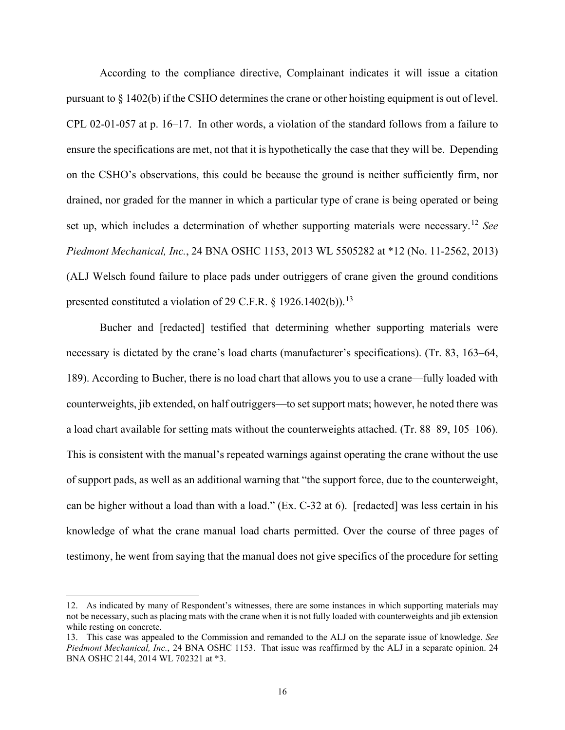According to the compliance directive, Complainant indicates it will issue a citation pursuant to  $\S 1402(b)$  if the CSHO determines the crane or other hoisting equipment is out of level. CPL 02-01-057 at p. 16–17. In other words, a violation of the standard follows from a failure to ensure the specifications are met, not that it is hypothetically the case that they will be. Depending on the CSHO's observations, this could be because the ground is neither sufficiently firm, nor drained, nor graded for the manner in which a particular type of crane is being operated or being set up, which includes a determination of whether supporting materials were necessary. [12](#page-15-0) *See Piedmont Mechanical, Inc.*, 24 BNA OSHC 1153, 2013 WL 5505282 at \*12 (No. 11-2562, 2013) (ALJ Welsch found failure to place pads under outriggers of crane given the ground conditions presented constituted a violation of 29 C.F.R.  $\S$  1926.1402(b)).<sup>13</sup>

Bucher and [redacted] testified that determining whether supporting materials were necessary is dictated by the crane's load charts (manufacturer's specifications). (Tr. 83, 163–64, 189). According to Bucher, there is no load chart that allows you to use a crane—fully loaded with counterweights, jib extended, on half outriggers—to set support mats; however, he noted there was a load chart available for setting mats without the counterweights attached. (Tr. 88–89, 105–106). This is consistent with the manual's repeated warnings against operating the crane without the use of support pads, as well as an additional warning that "the support force, due to the counterweight, can be higher without a load than with a load." (Ex. C-32 at 6). [redacted] was less certain in his knowledge of what the crane manual load charts permitted. Over the course of three pages of testimony, he went from saying that the manual does not give specifics of the procedure for setting

<span id="page-15-0"></span><sup>12.</sup> As indicated by many of Respondent's witnesses, there are some instances in which supporting materials may not be necessary, such as placing mats with the crane when it is not fully loaded with counterweights and jib extension while resting on concrete.

<span id="page-15-1"></span><sup>13.</sup> This case was appealed to the Commission and remanded to the ALJ on the separate issue of knowledge. *See Piedmont Mechanical, Inc.*, 24 BNA OSHC 1153. That issue was reaffirmed by the ALJ in a separate opinion. 24 BNA OSHC 2144, 2014 WL 702321 at \*3.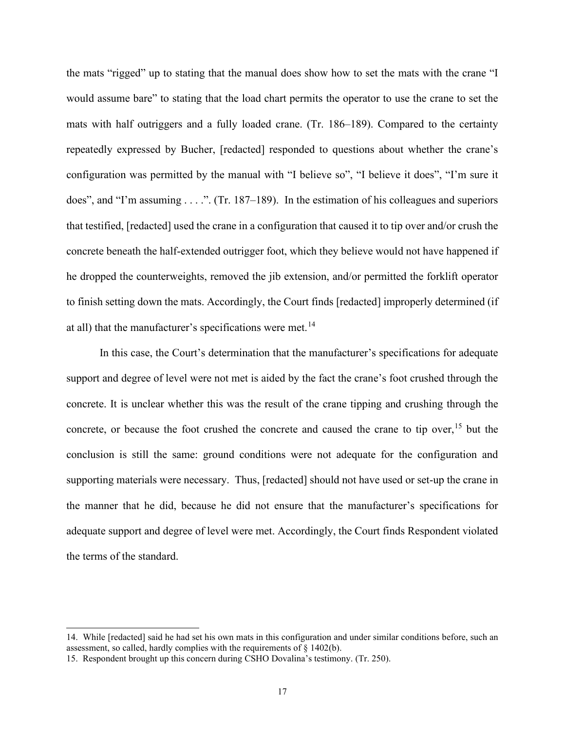the mats "rigged" up to stating that the manual does show how to set the mats with the crane "I would assume bare" to stating that the load chart permits the operator to use the crane to set the mats with half outriggers and a fully loaded crane. (Tr. 186–189). Compared to the certainty repeatedly expressed by Bucher, [redacted] responded to questions about whether the crane's configuration was permitted by the manual with "I believe so", "I believe it does", "I'm sure it does", and "I'm assuming  $\dots$ ". (Tr. 187–189). In the estimation of his colleagues and superiors that testified, [redacted] used the crane in a configuration that caused it to tip over and/or crush the concrete beneath the half-extended outrigger foot, which they believe would not have happened if he dropped the counterweights, removed the jib extension, and/or permitted the forklift operator to finish setting down the mats. Accordingly, the Court finds [redacted] improperly determined (if at all) that the manufacturer's specifications were met.<sup>[14](#page-16-0)</sup>

In this case, the Court's determination that the manufacturer's specifications for adequate support and degree of level were not met is aided by the fact the crane's foot crushed through the concrete. It is unclear whether this was the result of the crane tipping and crushing through the concrete, or because the foot crushed the concrete and caused the crane to tip over,<sup>[15](#page-16-1)</sup> but the conclusion is still the same: ground conditions were not adequate for the configuration and supporting materials were necessary. Thus, [redacted] should not have used or set-up the crane in the manner that he did, because he did not ensure that the manufacturer's specifications for adequate support and degree of level were met. Accordingly, the Court finds Respondent violated the terms of the standard.

<span id="page-16-0"></span><sup>14.</sup> While [redacted] said he had set his own mats in this configuration and under similar conditions before, such an assessment, so called, hardly complies with the requirements of § 1402(b).

<span id="page-16-1"></span><sup>15.</sup> Respondent brought up this concern during CSHO Dovalina's testimony. (Tr. 250).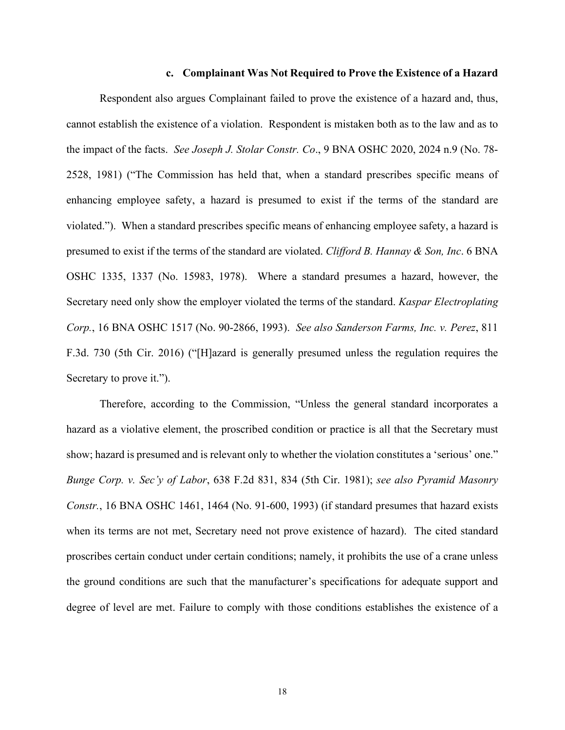#### **c. Complainant Was Not Required to Prove the Existence of a Hazard**

Respondent also argues Complainant failed to prove the existence of a hazard and, thus, cannot establish the existence of a violation. Respondent is mistaken both as to the law and as to the impact of the facts. *See Joseph J. Stolar Constr. Co*., 9 BNA OSHC 2020, 2024 n.9 (No. 78- 2528, 1981) ("The Commission has held that, when a standard prescribes specific means of enhancing employee safety, a hazard is presumed to exist if the terms of the standard are violated."). When a standard prescribes specific means of enhancing employee safety, a hazard is presumed to exist if the terms of the standard are violated. *Clifford B. Hannay & Son, Inc*. 6 BNA OSHC 1335, 1337 (No. 15983, 1978). Where a standard presumes a hazard, however, the Secretary need only show the employer violated the terms of the standard. *Kaspar Electroplating Corp.*, 16 BNA OSHC 1517 (No. 90-2866, 1993). *See also Sanderson Farms, Inc. v. Perez*, 811 F.3d. 730 (5th Cir. 2016) ("[H]azard is generally presumed unless the regulation requires the Secretary to prove it.").

Therefore, according to the Commission, "Unless the general standard incorporates a hazard as a violative element, the proscribed condition or practice is all that the Secretary must show; hazard is presumed and is relevant only to whether the violation constitutes a 'serious' one." *Bunge Corp. v. Sec'y of Labor*, 638 F.2d 831, 834 (5th Cir. 1981); *see also Pyramid Masonry Constr.*, 16 BNA OSHC 1461, 1464 (No. 91-600, 1993) (if standard presumes that hazard exists when its terms are not met, Secretary need not prove existence of hazard). The cited standard proscribes certain conduct under certain conditions; namely, it prohibits the use of a crane unless the ground conditions are such that the manufacturer's specifications for adequate support and degree of level are met. Failure to comply with those conditions establishes the existence of a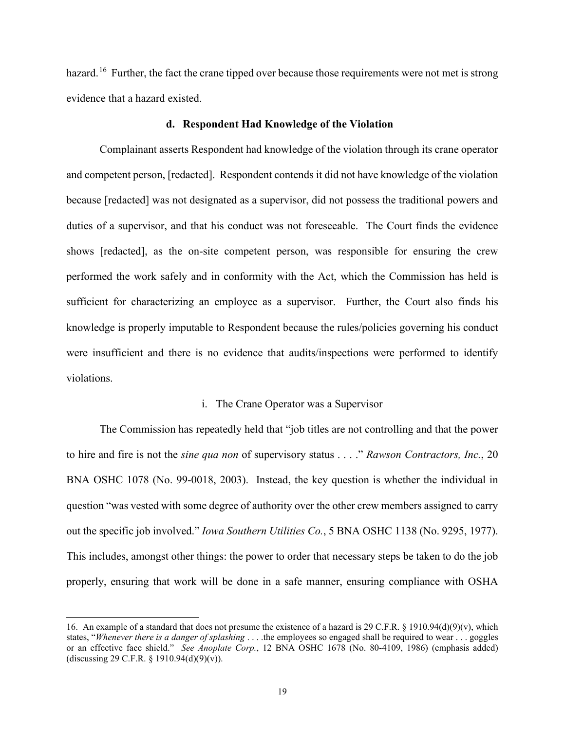hazard.<sup>16</sup> Further, the fact the crane tipped over because those requirements were not met is strong evidence that a hazard existed.

#### **d. Respondent Had Knowledge of the Violation**

Complainant asserts Respondent had knowledge of the violation through its crane operator and competent person, [redacted]. Respondent contends it did not have knowledge of the violation because [redacted] was not designated as a supervisor, did not possess the traditional powers and duties of a supervisor, and that his conduct was not foreseeable. The Court finds the evidence shows [redacted], as the on-site competent person, was responsible for ensuring the crew performed the work safely and in conformity with the Act, which the Commission has held is sufficient for characterizing an employee as a supervisor. Further, the Court also finds his knowledge is properly imputable to Respondent because the rules/policies governing his conduct were insufficient and there is no evidence that audits/inspections were performed to identify violations.

#### i. The Crane Operator was a Supervisor

 The Commission has repeatedly held that "job titles are not controlling and that the power to hire and fire is not the *sine qua non* of supervisory status . . . ." *Rawson Contractors, Inc.*, 20 BNA OSHC 1078 (No. 99-0018, 2003). Instead, the key question is whether the individual in question "was vested with some degree of authority over the other crew members assigned to carry out the specific job involved." *Iowa Southern Utilities Co.*, 5 BNA OSHC 1138 (No. 9295, 1977). This includes, amongst other things: the power to order that necessary steps be taken to do the job properly, ensuring that work will be done in a safe manner, ensuring compliance with OSHA

<span id="page-18-0"></span><sup>16.</sup> An example of a standard that does not presume the existence of a hazard is 29 C.F.R. § 1910.94(d)(9)(v), which states, "*Whenever there is a danger of splashing* . . . .the employees so engaged shall be required to wear . . . goggles or an effective face shield." *See Anoplate Corp.*, 12 BNA OSHC 1678 (No. 80-4109, 1986) (emphasis added) (discussing 29 C.F.R. § 1910.94(d)(9)(v)).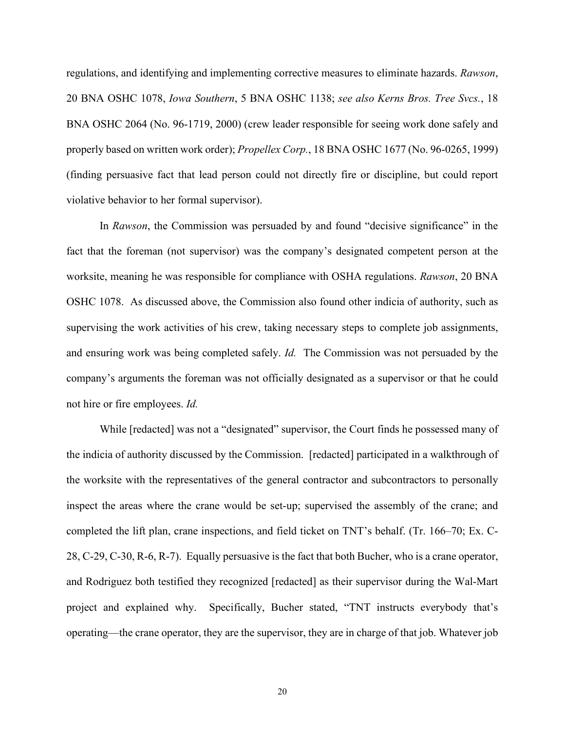regulations, and identifying and implementing corrective measures to eliminate hazards. *Rawson*, 20 BNA OSHC 1078, *Iowa Southern*, 5 BNA OSHC 1138; *see also Kerns Bros. Tree Svcs.*, 18 BNA OSHC 2064 (No. 96-1719, 2000) (crew leader responsible for seeing work done safely and properly based on written work order); *Propellex Corp.*, 18 BNA OSHC 1677 (No. 96-0265, 1999) (finding persuasive fact that lead person could not directly fire or discipline, but could report violative behavior to her formal supervisor).

In *Rawson*, the Commission was persuaded by and found "decisive significance" in the fact that the foreman (not supervisor) was the company's designated competent person at the worksite, meaning he was responsible for compliance with OSHA regulations. *Rawson*, 20 BNA OSHC 1078. As discussed above, the Commission also found other indicia of authority, such as supervising the work activities of his crew, taking necessary steps to complete job assignments, and ensuring work was being completed safely. *Id.* The Commission was not persuaded by the company's arguments the foreman was not officially designated as a supervisor or that he could not hire or fire employees. *Id.*

While [redacted] was not a "designated" supervisor, the Court finds he possessed many of the indicia of authority discussed by the Commission. [redacted] participated in a walkthrough of the worksite with the representatives of the general contractor and subcontractors to personally inspect the areas where the crane would be set-up; supervised the assembly of the crane; and completed the lift plan, crane inspections, and field ticket on TNT's behalf. (Tr. 166–70; Ex. C-28, C-29, C-30, R-6, R-7). Equally persuasive is the fact that both Bucher, who is a crane operator, and Rodriguez both testified they recognized [redacted] as their supervisor during the Wal-Mart project and explained why. Specifically, Bucher stated, "TNT instructs everybody that's operating—the crane operator, they are the supervisor, they are in charge of that job. Whatever job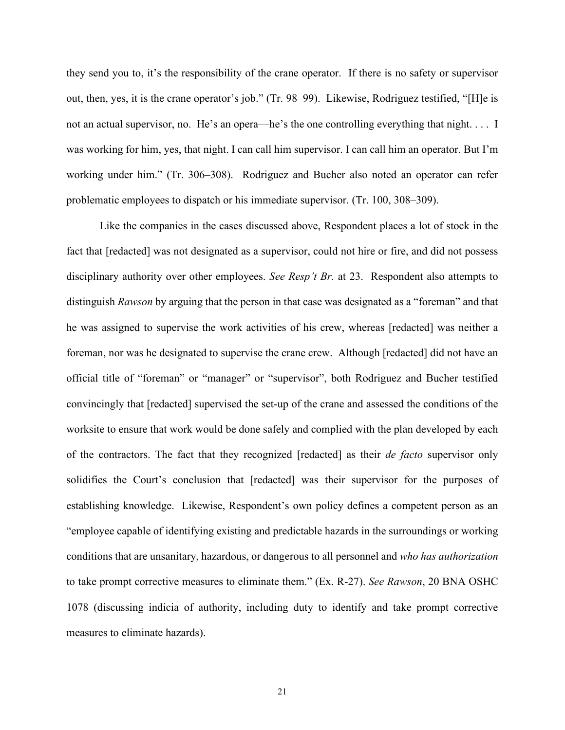they send you to, it's the responsibility of the crane operator. If there is no safety or supervisor out, then, yes, it is the crane operator's job." (Tr. 98–99). Likewise, Rodriguez testified, "[H]e is not an actual supervisor, no. He's an opera—he's the one controlling everything that night. . . . I was working for him, yes, that night. I can call him supervisor. I can call him an operator. But I'm working under him." (Tr. 306–308). Rodriguez and Bucher also noted an operator can refer problematic employees to dispatch or his immediate supervisor. (Tr. 100, 308–309).

Like the companies in the cases discussed above, Respondent places a lot of stock in the fact that [redacted] was not designated as a supervisor, could not hire or fire, and did not possess disciplinary authority over other employees. *See Resp't Br.* at 23. Respondent also attempts to distinguish *Rawson* by arguing that the person in that case was designated as a "foreman" and that he was assigned to supervise the work activities of his crew, whereas [redacted] was neither a foreman, nor was he designated to supervise the crane crew. Although [redacted] did not have an official title of "foreman" or "manager" or "supervisor", both Rodriguez and Bucher testified convincingly that [redacted] supervised the set-up of the crane and assessed the conditions of the worksite to ensure that work would be done safely and complied with the plan developed by each of the contractors. The fact that they recognized [redacted] as their *de facto* supervisor only solidifies the Court's conclusion that [redacted] was their supervisor for the purposes of establishing knowledge. Likewise, Respondent's own policy defines a competent person as an "employee capable of identifying existing and predictable hazards in the surroundings or working conditions that are unsanitary, hazardous, or dangerous to all personnel and *who has authorization* to take prompt corrective measures to eliminate them." (Ex. R-27). *See Rawson*, 20 BNA OSHC 1078 (discussing indicia of authority, including duty to identify and take prompt corrective measures to eliminate hazards).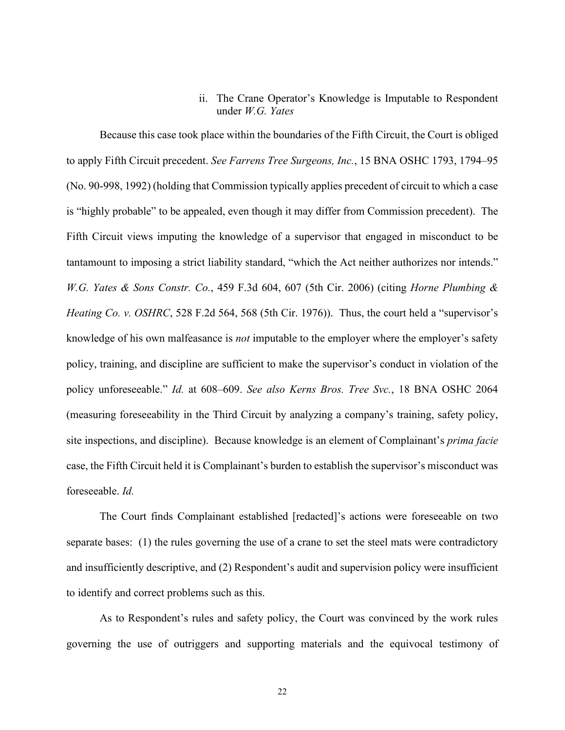# ii. The Crane Operator's Knowledge is Imputable to Respondent under *W.G. Yates*

Because this case took place within the boundaries of the Fifth Circuit, the Court is obliged to apply Fifth Circuit precedent. *See Farrens Tree Surgeons, Inc.*, 15 BNA OSHC 1793, 1794–95 (No. 90-998, 1992) (holding that Commission typically applies precedent of circuit to which a case is "highly probable" to be appealed, even though it may differ from Commission precedent). The Fifth Circuit views imputing the knowledge of a supervisor that engaged in misconduct to be tantamount to imposing a strict liability standard, "which the Act neither authorizes nor intends." *W.G. Yates & Sons Constr. Co.*, 459 F.3d 604, 607 (5th Cir. 2006) (citing *Horne Plumbing & Heating Co. v. OSHRC*, 528 F.2d 564, 568 (5th Cir. 1976)). Thus, the court held a "supervisor's knowledge of his own malfeasance is *not* imputable to the employer where the employer's safety policy, training, and discipline are sufficient to make the supervisor's conduct in violation of the policy unforeseeable." *Id.* at 608–609. *See also Kerns Bros. Tree Svc.*, 18 BNA OSHC 2064 (measuring foreseeability in the Third Circuit by analyzing a company's training, safety policy, site inspections, and discipline). Because knowledge is an element of Complainant's *prima facie*  case, the Fifth Circuit held it is Complainant's burden to establish the supervisor's misconduct was foreseeable. *Id.*

The Court finds Complainant established [redacted]'s actions were foreseeable on two separate bases: (1) the rules governing the use of a crane to set the steel mats were contradictory and insufficiently descriptive, and (2) Respondent's audit and supervision policy were insufficient to identify and correct problems such as this.

As to Respondent's rules and safety policy, the Court was convinced by the work rules governing the use of outriggers and supporting materials and the equivocal testimony of

22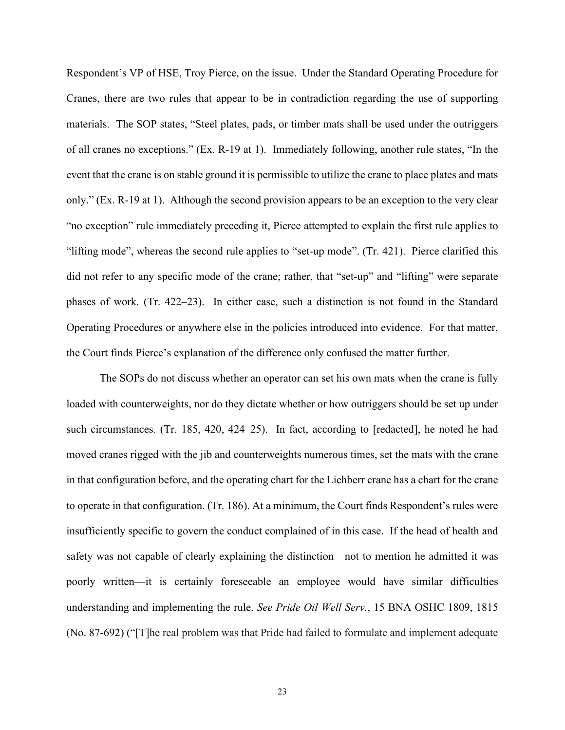Respondent's VP of HSE, Troy Pierce, on the issue. Under the Standard Operating Procedure for Cranes, there are two rules that appear to be in contradiction regarding the use of supporting materials. The SOP states, "Steel plates, pads, or timber mats shall be used under the outriggers of all cranes no exceptions." (Ex. R-19 at 1). Immediately following, another rule states, "In the event that the crane is on stable ground it is permissible to utilize the crane to place plates and mats only." (Ex. R-19 at 1). Although the second provision appears to be an exception to the very clear "no exception" rule immediately preceding it, Pierce attempted to explain the first rule applies to "lifting mode", whereas the second rule applies to "set-up mode". (Tr. 421). Pierce clarified this did not refer to any specific mode of the crane; rather, that "set-up" and "lifting" were separate phases of work. (Tr. 422–23). In either case, such a distinction is not found in the Standard Operating Procedures or anywhere else in the policies introduced into evidence. For that matter, the Court finds Pierce's explanation of the difference only confused the matter further.

 The SOPs do not discuss whether an operator can set his own mats when the crane is fully loaded with counterweights, nor do they dictate whether or how outriggers should be set up under such circumstances. (Tr. 185, 420, 424–25). In fact, according to [redacted], he noted he had moved cranes rigged with the jib and counterweights numerous times, set the mats with the crane in that configuration before, and the operating chart for the Liehberr crane has a chart for the crane to operate in that configuration. (Tr. 186). At a minimum, the Court finds Respondent's rules were insufficiently specific to govern the conduct complained of in this case. If the head of health and safety was not capable of clearly explaining the distinction—not to mention he admitted it was poorly written—it is certainly foreseeable an employee would have similar difficulties understanding and implementing the rule. *See Pride Oil Well Serv.*, 15 BNA OSHC 1809, 1815 (No. 87-692) ("[T]he real problem was that Pride had failed to formulate and implement adequate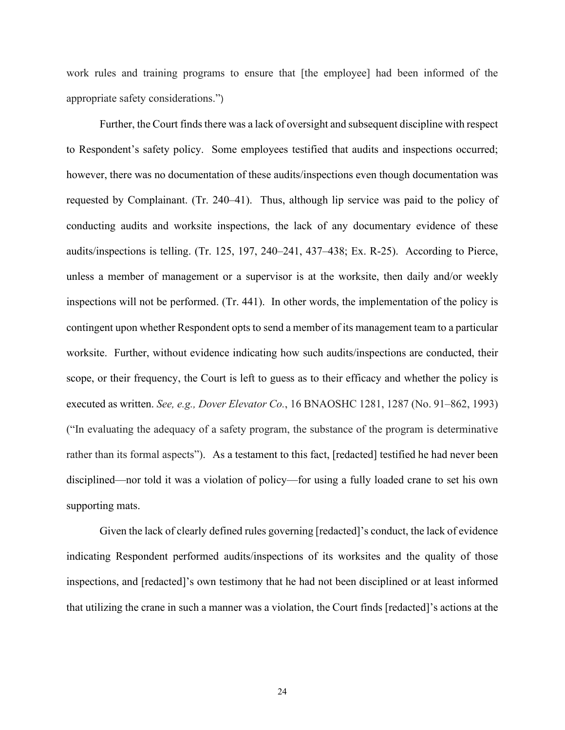work rules and training programs to ensure that [the employee] had been informed of the appropriate safety considerations.")

Further, the Court finds there was a lack of oversight and subsequent discipline with respect to Respondent's safety policy. Some employees testified that audits and inspections occurred; however, there was no documentation of these audits/inspections even though documentation was requested by Complainant. (Tr. 240–41). Thus, although lip service was paid to the policy of conducting audits and worksite inspections, the lack of any documentary evidence of these audits/inspections is telling. (Tr. 125, 197, 240–241, 437–438; Ex. R-25). According to Pierce, unless a member of management or a supervisor is at the worksite, then daily and/or weekly inspections will not be performed. (Tr. 441). In other words, the implementation of the policy is contingent upon whether Respondent opts to send a member of its management team to a particular worksite. Further, without evidence indicating how such audits/inspections are conducted, their scope, or their frequency, the Court is left to guess as to their efficacy and whether the policy is executed as written. *See, e.g., Dover Elevator Co.*, 16 BNAOSHC 1281, 1287 (No. 91–862, 1993) ("In evaluating the adequacy of a safety program, the substance of the program is determinative rather than its formal aspects"). As a testament to this fact, [redacted] testified he had never been disciplined—nor told it was a violation of policy—for using a fully loaded crane to set his own supporting mats.

Given the lack of clearly defined rules governing [redacted]'s conduct, the lack of evidence indicating Respondent performed audits/inspections of its worksites and the quality of those inspections, and [redacted]'s own testimony that he had not been disciplined or at least informed that utilizing the crane in such a manner was a violation, the Court finds [redacted]'s actions at the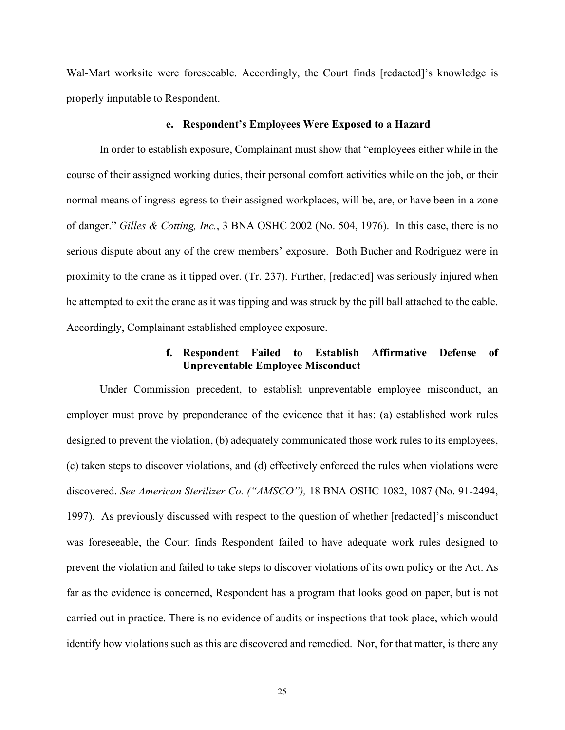Wal-Mart worksite were foreseeable. Accordingly, the Court finds [redacted]'s knowledge is properly imputable to Respondent.

#### **e. Respondent's Employees Were Exposed to a Hazard**

In order to establish exposure, Complainant must show that "employees either while in the course of their assigned working duties, their personal comfort activities while on the job, or their normal means of ingress-egress to their assigned workplaces, will be, are, or have been in a zone of danger." *Gilles & Cotting, Inc.*, 3 BNA OSHC 2002 (No. 504, 1976). In this case, there is no serious dispute about any of the crew members' exposure. Both Bucher and Rodriguez were in proximity to the crane as it tipped over. (Tr. 237). Further, [redacted] was seriously injured when he attempted to exit the crane as it was tipping and was struck by the pill ball attached to the cable. Accordingly, Complainant established employee exposure.

# **f. Respondent Failed to Establish Affirmative Defense of Unpreventable Employee Misconduct**

Under Commission precedent, to establish unpreventable employee misconduct, an employer must prove by preponderance of the evidence that it has: (a) established work rules designed to prevent the violation, (b) adequately communicated those work rules to its employees, (c) taken steps to discover violations, and (d) effectively enforced the rules when violations were discovered. *See American Sterilizer Co. ("AMSCO"),* 18 BNA OSHC 1082, 1087 (No. 91-2494, 1997). As previously discussed with respect to the question of whether [redacted]'s misconduct was foreseeable, the Court finds Respondent failed to have adequate work rules designed to prevent the violation and failed to take steps to discover violations of its own policy or the Act. As far as the evidence is concerned, Respondent has a program that looks good on paper, but is not carried out in practice. There is no evidence of audits or inspections that took place, which would identify how violations such as this are discovered and remedied. Nor, for that matter, is there any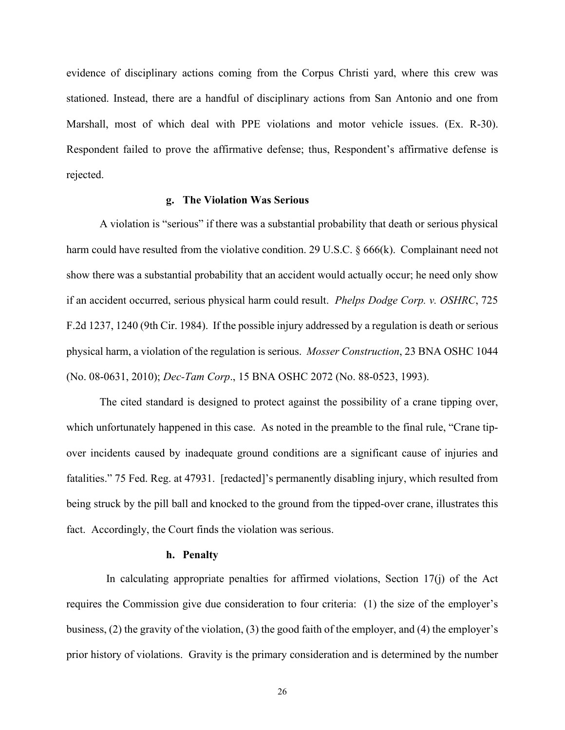evidence of disciplinary actions coming from the Corpus Christi yard, where this crew was stationed. Instead, there are a handful of disciplinary actions from San Antonio and one from Marshall, most of which deal with PPE violations and motor vehicle issues. (Ex. R-30). Respondent failed to prove the affirmative defense; thus, Respondent's affirmative defense is rejected.

#### **g. The Violation Was Serious**

A violation is "serious" if there was a substantial probability that death or serious physical harm could have resulted from the violative condition. 29 U.S.C. § 666(k). Complainant need not show there was a substantial probability that an accident would actually occur; he need only show if an accident occurred, serious physical harm could result. *Phelps Dodge Corp. v. OSHRC*, 725 F.2d 1237, 1240 (9th Cir. 1984). If the possible injury addressed by a regulation is death or serious physical harm, a violation of the regulation is serious. *Mosser Construction*, 23 BNA OSHC 1044 (No. 08-0631, 2010); *Dec-Tam Corp*., 15 BNA OSHC 2072 (No. 88-0523, 1993).

The cited standard is designed to protect against the possibility of a crane tipping over, which unfortunately happened in this case. As noted in the preamble to the final rule, "Crane tipover incidents caused by inadequate ground conditions are a significant cause of injuries and fatalities." 75 Fed. Reg. at 47931. [redacted]'s permanently disabling injury, which resulted from being struck by the pill ball and knocked to the ground from the tipped-over crane, illustrates this fact. Accordingly, the Court finds the violation was serious.

### **h. Penalty**

In calculating appropriate penalties for affirmed violations, Section  $17(i)$  of the Act requires the Commission give due consideration to four criteria: (1) the size of the employer's business, (2) the gravity of the violation, (3) the good faith of the employer, and (4) the employer's prior history of violations. Gravity is the primary consideration and is determined by the number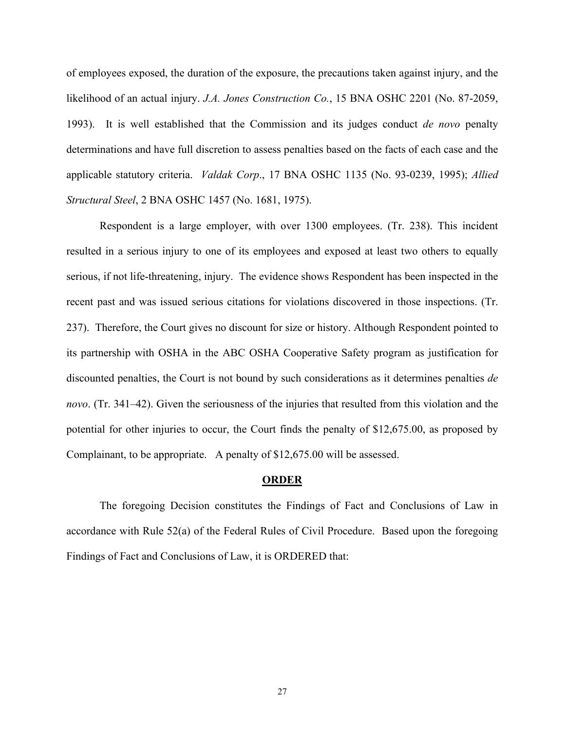of employees exposed, the duration of the exposure, the precautions taken against injury, and the likelihood of an actual injury. *J.A. Jones Construction Co.*, 15 BNA OSHC 2201 (No. 87-2059, 1993). It is well established that the Commission and its judges conduct *de novo* penalty determinations and have full discretion to assess penalties based on the facts of each case and the applicable statutory criteria. *Valdak Corp*., 17 BNA OSHC 1135 (No. 93-0239, 1995); *Allied Structural Steel*, 2 BNA OSHC 1457 (No. 1681, 1975).

Respondent is a large employer, with over 1300 employees. (Tr. 238). This incident resulted in a serious injury to one of its employees and exposed at least two others to equally serious, if not life-threatening, injury. The evidence shows Respondent has been inspected in the recent past and was issued serious citations for violations discovered in those inspections. (Tr. 237). Therefore, the Court gives no discount for size or history. Although Respondent pointed to its partnership with OSHA in the ABC OSHA Cooperative Safety program as justification for discounted penalties, the Court is not bound by such considerations as it determines penalties *de novo*. (Tr. 341–42). Given the seriousness of the injuries that resulted from this violation and the potential for other injuries to occur, the Court finds the penalty of \$12,675.00, as proposed by Complainant, to be appropriate. A penalty of \$12,675.00 will be assessed.

#### **ORDER**

The foregoing Decision constitutes the Findings of Fact and Conclusions of Law in accordance with Rule 52(a) of the Federal Rules of Civil Procedure. Based upon the foregoing Findings of Fact and Conclusions of Law, it is ORDERED that: